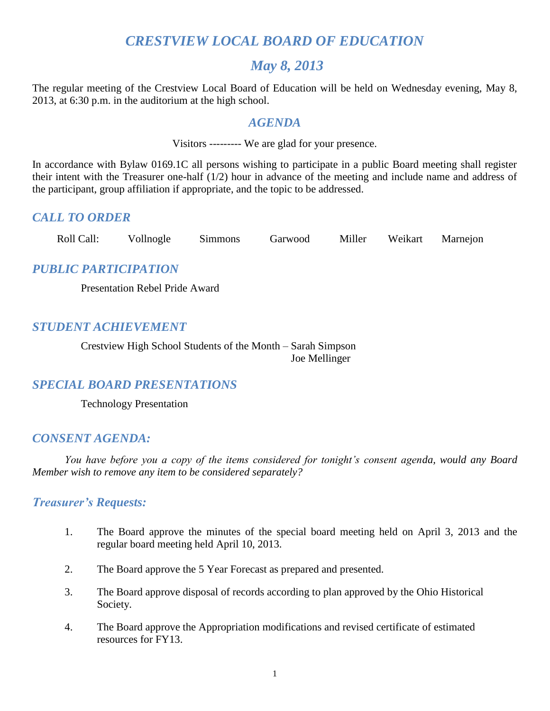## *CRESTVIEW LOCAL BOARD OF EDUCATION*

## *May 8, 2013*

The regular meeting of the Crestview Local Board of Education will be held on Wednesday evening, May 8, 2013, at 6:30 p.m. in the auditorium at the high school.

## *AGENDA*

Visitors --------- We are glad for your presence.

In accordance with Bylaw 0169.1C all persons wishing to participate in a public Board meeting shall register their intent with the Treasurer one-half (1/2) hour in advance of the meeting and include name and address of the participant, group affiliation if appropriate, and the topic to be addressed.

## *CALL TO ORDER*

Roll Call: Vollnogle Simmons Garwood Miller Weikart Marnejon

## *PUBLIC PARTICIPATION*

Presentation Rebel Pride Award

## *STUDENT ACHIEVEMENT*

Crestview High School Students of the Month – Sarah Simpson Joe Mellinger

## *SPECIAL BOARD PRESENTATIONS*

Technology Presentation

## *CONSENT AGENDA:*

*You have before you a copy of the items considered for tonight's consent agenda, would any Board Member wish to remove any item to be considered separately?*

## *Treasurer's Requests:*

- 1. The Board approve the minutes of the special board meeting held on April 3, 2013 and the regular board meeting held April 10, 2013.
- 2. The Board approve the 5 Year Forecast as prepared and presented.
- 3. The Board approve disposal of records according to plan approved by the Ohio Historical Society.
- 4. The Board approve the Appropriation modifications and revised certificate of estimated resources for FY13.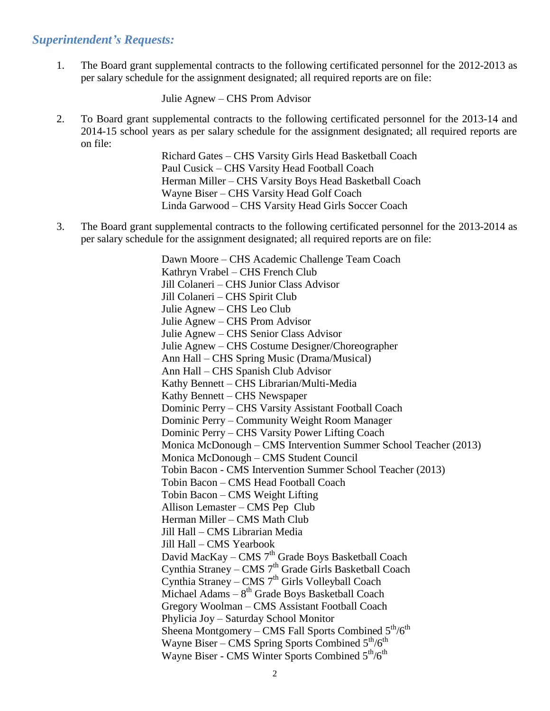### *Superintendent's Requests:*

1. The Board grant supplemental contracts to the following certificated personnel for the 2012-2013 as per salary schedule for the assignment designated; all required reports are on file:

Julie Agnew – CHS Prom Advisor

2. To Board grant supplemental contracts to the following certificated personnel for the 2013-14 and 2014-15 school years as per salary schedule for the assignment designated; all required reports are on file:

Richard Gates – CHS Varsity Girls Head Basketball Coach Paul Cusick – CHS Varsity Head Football Coach Herman Miller – CHS Varsity Boys Head Basketball Coach Wayne Biser – CHS Varsity Head Golf Coach Linda Garwood – CHS Varsity Head Girls Soccer Coach

3. The Board grant supplemental contracts to the following certificated personnel for the 2013-2014 as per salary schedule for the assignment designated; all required reports are on file:

> Dawn Moore – CHS Academic Challenge Team Coach Kathryn Vrabel – CHS French Club Jill Colaneri – CHS Junior Class Advisor Jill Colaneri – CHS Spirit Club Julie Agnew – CHS Leo Club Julie Agnew – CHS Prom Advisor Julie Agnew – CHS Senior Class Advisor Julie Agnew – CHS Costume Designer/Choreographer Ann Hall – CHS Spring Music (Drama/Musical) Ann Hall – CHS Spanish Club Advisor Kathy Bennett – CHS Librarian/Multi-Media Kathy Bennett – CHS Newspaper Dominic Perry – CHS Varsity Assistant Football Coach Dominic Perry – Community Weight Room Manager Dominic Perry – CHS Varsity Power Lifting Coach Monica McDonough – CMS Intervention Summer School Teacher (2013) Monica McDonough – CMS Student Council Tobin Bacon - CMS Intervention Summer School Teacher (2013) Tobin Bacon – CMS Head Football Coach Tobin Bacon – CMS Weight Lifting Allison Lemaster – CMS Pep Club Herman Miller – CMS Math Club Jill Hall – CMS Librarian Media Jill Hall – CMS Yearbook David MacKay – CMS $7^{\rm th}$  Grade Boys Basketball Coach Cynthia Straney – CMS 7<sup>th</sup> Grade Girls Basketball Coach Cynthia Straney – CMS 7<sup>th</sup> Girls Volleyball Coach Michael Adams  $-8<sup>th</sup>$  Grade Boys Basketball Coach Gregory Woolman – CMS Assistant Football Coach Phylicia Joy – Saturday School Monitor Sheena Montgomery – CMS Fall Sports Combined  $5<sup>th</sup>/6<sup>th</sup>$ Wayne Biser – CMS Spring Sports Combined  $5<sup>th</sup>/6<sup>th</sup>$ Wayne Biser - CMS Winter Sports Combined  $5<sup>th</sup>/6<sup>th</sup>$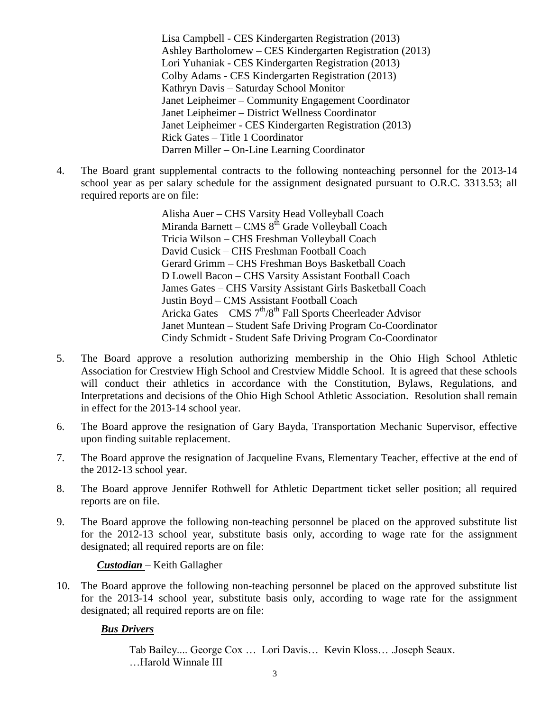Lisa Campbell - CES Kindergarten Registration (2013) Ashley Bartholomew – CES Kindergarten Registration (2013) Lori Yuhaniak - CES Kindergarten Registration (2013) Colby Adams - CES Kindergarten Registration (2013) Kathryn Davis – Saturday School Monitor Janet Leipheimer – Community Engagement Coordinator Janet Leipheimer – District Wellness Coordinator Janet Leipheimer - CES Kindergarten Registration (2013) Rick Gates – Title 1 Coordinator Darren Miller – On-Line Learning Coordinator

4. The Board grant supplemental contracts to the following nonteaching personnel for the 2013-14 school year as per salary schedule for the assignment designated pursuant to O.R.C. 3313.53; all required reports are on file:

> Alisha Auer – CHS Varsity Head Volleyball Coach Miranda Barnett – CMS  $8<sup>th</sup>$  Grade Volleyball Coach Tricia Wilson – CHS Freshman Volleyball Coach David Cusick – CHS Freshman Football Coach Gerard Grimm – CHS Freshman Boys Basketball Coach D Lowell Bacon – CHS Varsity Assistant Football Coach James Gates – CHS Varsity Assistant Girls Basketball Coach Justin Boyd – CMS Assistant Football Coach Aricka Gates – CMS  $7<sup>th</sup>/8<sup>th</sup>$  Fall Sports Cheerleader Advisor Janet Muntean – Student Safe Driving Program Co-Coordinator Cindy Schmidt - Student Safe Driving Program Co-Coordinator

- 5. The Board approve a resolution authorizing membership in the Ohio High School Athletic Association for Crestview High School and Crestview Middle School. It is agreed that these schools will conduct their athletics in accordance with the Constitution, Bylaws, Regulations, and Interpretations and decisions of the Ohio High School Athletic Association. Resolution shall remain in effect for the 2013-14 school year.
- 6. The Board approve the resignation of Gary Bayda, Transportation Mechanic Supervisor, effective upon finding suitable replacement.
- 7. The Board approve the resignation of Jacqueline Evans, Elementary Teacher, effective at the end of the 2012-13 school year.
- 8. The Board approve Jennifer Rothwell for Athletic Department ticket seller position; all required reports are on file.
- 9. The Board approve the following non-teaching personnel be placed on the approved substitute list for the 2012-13 school year, substitute basis only, according to wage rate for the assignment designated; all required reports are on file:

*Custodian* – Keith Gallagher

10. The Board approve the following non-teaching personnel be placed on the approved substitute list for the 2013-14 school year, substitute basis only, according to wage rate for the assignment designated; all required reports are on file:

### *Bus Drivers*

Tab Bailey.... George Cox … Lori Davis… Kevin Kloss… .Joseph Seaux. …Harold Winnale III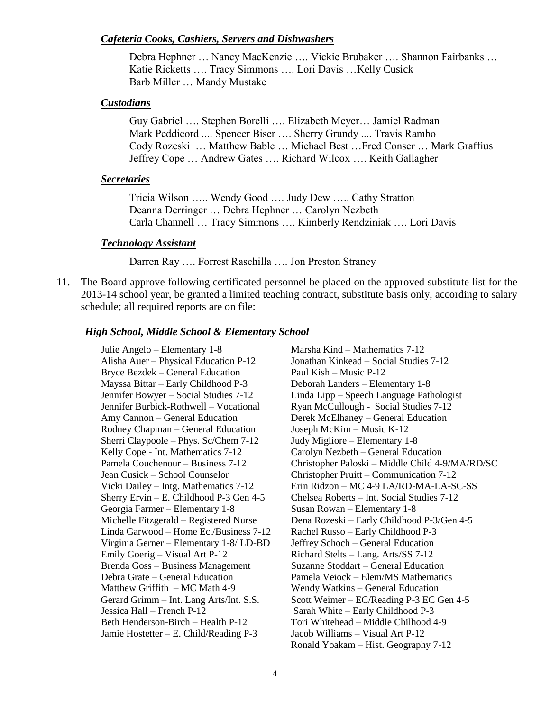#### *Cafeteria Cooks, Cashiers, Servers and Dishwashers*

Debra Hephner … Nancy MacKenzie …. Vickie Brubaker …. Shannon Fairbanks … Katie Ricketts …. Tracy Simmons …. Lori Davis …Kelly Cusick Barb Miller … Mandy Mustake

#### *Custodians*

Guy Gabriel …. Stephen Borelli …. Elizabeth Meyer… Jamiel Radman Mark Peddicord .... Spencer Biser …. Sherry Grundy .... Travis Rambo Cody Rozeski … Matthew Bable … Michael Best …Fred Conser … Mark Graffius Jeffrey Cope … Andrew Gates …. Richard Wilcox …. Keith Gallagher

#### *Secretaries*

Tricia Wilson ….. Wendy Good …. Judy Dew ….. Cathy Stratton Deanna Derringer … Debra Hephner … Carolyn Nezbeth Carla Channell … Tracy Simmons …. Kimberly Rendziniak …. Lori Davis

#### *Technology Assistant*

Darren Ray …. Forrest Raschilla …. Jon Preston Straney

11. The Board approve following certificated personnel be placed on the approved substitute list for the 2013-14 school year, be granted a limited teaching contract, substitute basis only, according to salary schedule; all required reports are on file:

#### *High School, Middle School & Elementary School*

Julie Angelo – Elementary 1-8 Marsha Kind – Mathematics 7-12 Alisha Auer – Physical Education P-12 Jonathan Kinkead – Social Studies 7-12 Bryce Bezdek – General Education Paul Kish – Music P-12 Mayssa Bittar – Early Childhood P-3 Deborah Landers – Elementary 1-8 Jennifer Burbick-Rothwell – Vocational Ryan McCullough - Social Studies 7-12 Amy Cannon – General Education Derek McElhaney – General Education Rodney Chapman – General Education Joseph McKim – Music K-12 Sherri Claypoole – Phys. Sc/Chem 7-12 Judy Migliore – Elementary 1-8 Kelly Cope - Int. Mathematics 7-12 Carolyn Nezbeth – General Education Georgia Farmer – Elementary 1-8 Susan Rowan – Elementary 1-8 Linda Garwood – Home Ec./Business 7-12 Rachel Russo – Early Childhood P-3 Virginia Gerner – Elementary 1-8/ LD-BD Jeffrey Schoch – General Education Emily Goerig – Visual Art P-12 Richard Stelts – Lang. Arts/SS 7-12 Brenda Goss – Business Management Suzanne Stoddart – General Education Debra Grate – General Education Pamela Veiock – Elem/MS Mathematics Matthew Griffith – MC Math 4-9 Wendy Watkins – General Education Jessica Hall – French P-12 Sarah White – Early Childhood P-3 Beth Henderson-Birch – Health P-12 Tori Whitehead – Middle Chilhood 4-9 Jamie Hostetter – E. Child/Reading P-3 Jacob Williams – Visual Art P-12

Jennifer Bowyer – Social Studies 7-12 Linda Lipp – Speech Language Pathologist Pamela Couchenour – Business 7-12 Christopher Paloski – Middle Child 4-9/MA/RD/SC Jean Cusick – School Counselor Christopher Pruitt – Communication 7-12 Vicki Dailey – Intg. Mathematics 7-12 Erin Ridzon – MC 4-9 LA/RD-MA-LA-SC-SS Sherry Ervin – E. Childhood P-3 Gen 4-5 Chelsea Roberts – Int. Social Studies 7-12 Michelle Fitzgerald – Registered Nurse Dena Rozeski – Early Childhood P-3/Gen 4-5 Gerard Grimm – Int. Lang Arts/Int. S.S. Scott Weimer – EC/Reading P-3 EC Gen 4-5 Ronald Yoakam – Hist. Geography 7-12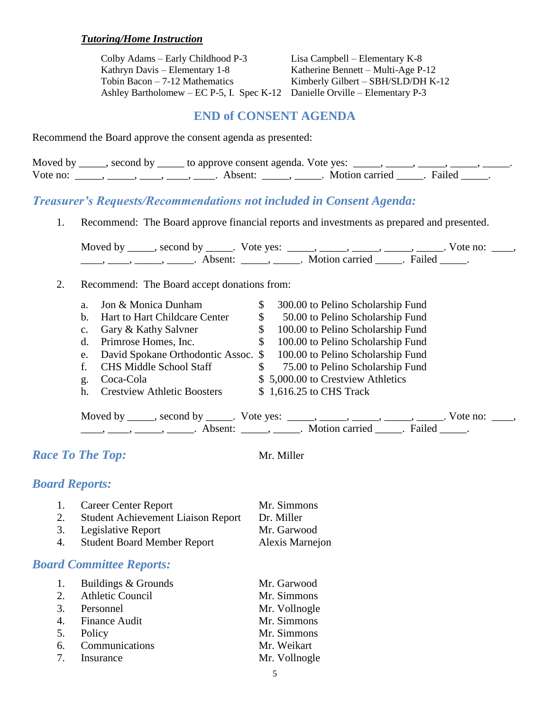### *Tutoring/Home Instruction*

Colby Adams – Early Childhood P-3 Lisa Campbell – Elementary K-8 Kathryn Davis – Elementary 1-8 Katherine Bennett – Multi-Age P-12 Tobin Bacon – 7-12 Mathematics Kimberly Gilbert – SBH/SLD/DH K-12 Ashley Bartholomew – EC P-5, I. Spec K-12 Danielle Orville – Elementary P-3

## **END of CONSENT AGENDA**

Recommend the Board approve the consent agenda as presented:

|          | Moved by _____, second by _____ to approve consent agenda. Vote yes: |                         |  |
|----------|----------------------------------------------------------------------|-------------------------|--|
| Vote no: | Absent:                                                              | Motion carried . Failed |  |

## *Treasurer's Requests/Recommendations not included in Consent Agenda:*

1. Recommend: The Board approve financial reports and investments as prepared and presented.

Moved by \_\_\_\_\_, second by \_\_\_\_\_. Vote yes: \_\_\_\_\_, \_\_\_\_\_, \_\_\_\_\_, \_\_\_\_\_, \_\_\_\_\_. Vote no: \_\_\_\_,  $\underbrace{\hspace{1cm}}$ ,  $\underbrace{\hspace{1cm}}$ ,  $\underbrace{\hspace{1cm}}$ ,  $\underbrace{\hspace{1cm}}$  Absent:  $\underbrace{\hspace{1cm}}$ ,  $\underbrace{\hspace{1cm}}$ . Motion carried  $\underbrace{\hspace{1cm}}$ . Failed  $\underbrace{\hspace{1cm}}$ .

2. Recommend: The Board accept donations from:

| a.          | Jon & Monica Dunham                | \$           | 300.00 to Pelino Scholarship Fund                                        |
|-------------|------------------------------------|--------------|--------------------------------------------------------------------------|
| $h_{\cdot}$ | Hart to Hart Childcare Center      | \$           | 50.00 to Pelino Scholarship Fund                                         |
| $c_{\cdot}$ | Gary & Kathy Salvner               | \$           | 100.00 to Pelino Scholarship Fund                                        |
|             | d. Primrose Homes, Inc.            | \$           | 100.00 to Pelino Scholarship Fund                                        |
|             |                                    |              | e. David Spokane Orthodontic Assoc. \$ 100.00 to Pelino Scholarship Fund |
| f.          | <b>CHS Middle School Staff</b>     | <sup>S</sup> | 75.00 to Pelino Scholarship Fund                                         |
| g.          | Coca-Cola                          |              | \$5,000.00 to Crestview Athletics                                        |
| $h_{-}$     | <b>Crestview Athletic Boosters</b> |              | $$1,616.25$$ to CHS Track                                                |
|             |                                    |              |                                                                          |

Moved by \_\_\_\_\_, second by \_\_\_\_\_. Vote yes:  $\_\_\_\_\_\_\_\_\_\_\_\_\_\_\_$  \_\_\_\_\_, \_\_\_\_\_, \_\_\_\_\_. Vote no:  $\_\_\_\_\_\_\$ \_\_\_\_\_, \_\_\_\_\_\_, \_\_\_\_\_\_\_. Absent: \_\_\_\_\_\_, \_\_\_\_\_\_. Motion carried \_\_\_\_\_\_. Failed \_\_\_\_\_.

*Race To The Top:* Mr. Miller

### *Board Reports:*

|    | 1. Career Center Report                   | Mr. Simmons     |
|----|-------------------------------------------|-----------------|
| 2. | <b>Student Achievement Liaison Report</b> | Dr. Miller      |
|    | 3. Legislative Report                     | Mr. Garwood     |
| 4. | <b>Student Board Member Report</b>        | Alexis Marnejon |

## *Board Committee Reports:*

| 1. Buildings & Grounds | Mr. Garwood   |
|------------------------|---------------|
| 2. Athletic Council    | Mr. Simmons   |
| 3. Personnel           | Mr. Vollnogle |
| 4. Finance Audit       | Mr. Simmons   |
| 5. Policy              | Mr. Simmons   |
| 6. Communications      | Mr. Weikart   |
| 7. Insurance           | Mr. Vollnogle |
|                        |               |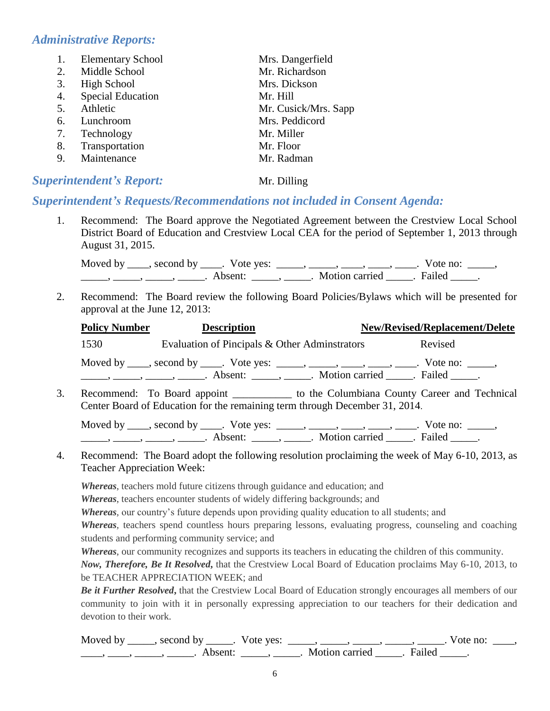## *Administrative Reports:*

| 1. | <b>Elementary School</b> | Mrs. Dangerfield     |
|----|--------------------------|----------------------|
| 2. | Middle School            | Mr. Richardson       |
| 3. | <b>High School</b>       | Mrs. Dickson         |
| 4. | <b>Special Education</b> | Mr. Hill             |
| 5. | Athletic                 | Mr. Cusick/Mrs. Sapp |
| 6. | Lunchroom                | Mrs. Peddicord       |
| 7. | Technology               | Mr. Miller           |
| 8. | Transportation           | Mr. Floor            |
| 9. | Maintenance              | Mr. Radman           |
|    |                          |                      |

## *Superintendent's Report:* Mr. Dilling

## *Superintendent's Requests/Recommendations not included in Consent Agenda:*

1. Recommend: The Board approve the Negotiated Agreement between the Crestview Local School District Board of Education and Crestview Local CEA for the period of September 1, 2013 through August 31, 2015.

Moved by \_\_\_\_, second by \_\_\_\_. Vote yes: \_\_\_\_\_, \_\_\_\_, \_\_\_\_, \_\_\_\_, \_\_\_\_. Vote no: \_\_\_\_,  $\frac{1}{\sqrt{2\pi}}$ ,  $\frac{1}{\sqrt{2\pi}}$ ,  $\frac{1}{\sqrt{2\pi}}$ ,  $\frac{1}{\sqrt{2\pi}}$ ,  $\frac{1}{\sqrt{2\pi}}$ ,  $\frac{1}{\sqrt{2\pi}}$ ,  $\frac{1}{\sqrt{2\pi}}$ ,  $\frac{1}{\sqrt{2\pi}}$ ,  $\frac{1}{\sqrt{2\pi}}$ ,  $\frac{1}{\sqrt{2\pi}}$ ,  $\frac{1}{\sqrt{2\pi}}$ ,  $\frac{1}{\sqrt{2\pi}}$ ,  $\frac{1}{\sqrt{2\pi}}$ ,  $\frac{1}{\sqrt{2\pi}}$ 

2. Recommend: The Board review the following Board Policies/Bylaws which will be presented for approval at the June 12, 2013:

| <b>Policy Number</b> | <b>Description</b>                                                                                                                                                                            | <b>New/Revised/Replacement/Delete</b> |
|----------------------|-----------------------------------------------------------------------------------------------------------------------------------------------------------------------------------------------|---------------------------------------|
| 1530                 | Evaluation of Pincipals & Other Adminstrators                                                                                                                                                 | Revised                               |
|                      | Moved by _____, second by _____. Vote yes: ______, _____, _____, _____, Vote no: ______,<br>$\ldots, \ldots, \ldots, \ldots$ Absent: $\ldots, \ldots$ Motion carried $\ldots$ Failed $\ldots$ |                                       |
|                      | Recommend: To Board appoint ______________ to the Columbiana County Career and Technical<br>Center Board of Education for the remaining term through December 31, 2014.                       |                                       |

Moved by  $\_\_\_\_$ , second by  $\_\_\_\_$ . Vote yes:  $\_\_\_\_\_\_\_\_\_\_\_\_\_\_$ ,  $\_\_\_\_\_\_\_\_\_\_\_\_\_\_\_\_\_\_\_\_\_\_$ . Vote no:  $\_\_\_\_\_\_\_\_$ \_\_\_\_\_\_\_, \_\_\_\_\_\_, \_\_\_\_\_\_\_. Absent: \_\_\_\_\_\_, \_\_\_\_\_\_. Motion carried \_\_\_\_\_\_. Failed \_\_\_\_\_.

4. Recommend: The Board adopt the following resolution proclaiming the week of May 6-10, 2013, as Teacher Appreciation Week:

*Whereas*, teachers mold future citizens through guidance and education; and

*Whereas*, teachers encounter students of widely differing backgrounds; and

*Whereas,* our country's future depends upon providing quality education to all students; and

*Whereas,* teachers spend countless hours preparing lessons, evaluating progress, counseling and coaching students and performing community service; and

*Whereas*, our community recognizes and supports its teachers in educating the children of this community.

*Now, Therefore, Be It Resolved***,** that the Crestview Local Board of Education proclaims May 6-10, 2013, to be TEACHER APPRECIATION WEEK; and

*Be it Further Resolved***,** that the Crestview Local Board of Education strongly encourages all members of our community to join with it in personally expressing appreciation to our teachers for their dedication and devotion to their work.

Moved by \_\_\_\_\_, second by \_\_\_\_\_. Vote yes: \_\_\_\_\_, \_\_\_\_\_, \_\_\_\_\_, \_\_\_\_\_, \_\_\_\_\_. Vote no: \_\_\_\_, \_\_\_\_, \_\_\_\_\_, \_\_\_\_\_\_\_. Absent: \_\_\_\_\_\_, \_\_\_\_\_. Motion carried \_\_\_\_\_. Failed \_\_\_\_\_.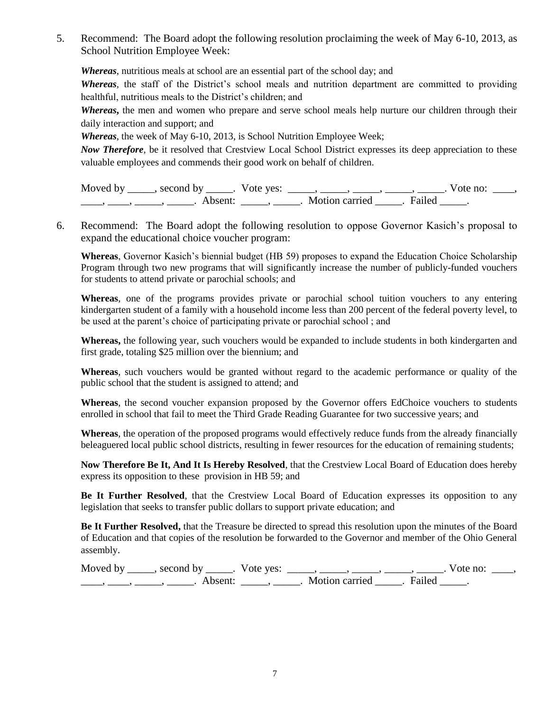5. Recommend: The Board adopt the following resolution proclaiming the week of May 6-10, 2013, as School Nutrition Employee Week:

*Whereas*, nutritious meals at school are an essential part of the school day; and

*Whereas,* the staff of the District's school meals and nutrition department are committed to providing healthful, nutritious meals to the District's children; and

*Whereas***,** the men and women who prepare and serve school meals help nurture our children through their daily interaction and support; and

*Whereas*, the week of May 6-10, 2013, is School Nutrition Employee Week;

*Now Therefore,* be it resolved that Crestview Local School District expresses its deep appreciation to these valuable employees and commends their good work on behalf of children.

| Moved by | second by           | Vote yes: |                |        | Vote no: |  |
|----------|---------------------|-----------|----------------|--------|----------|--|
|          | Absent <sup>.</sup> |           | Motion carried | Failed |          |  |

6. Recommend: The Board adopt the following resolution to oppose Governor Kasich's proposal to expand the educational choice voucher program:

**Whereas**, Governor Kasich's biennial budget (HB 59) proposes to expand the Education Choice Scholarship Program through two new programs that will significantly increase the number of publicly-funded vouchers for students to attend private or parochial schools; and

**Whereas**, one of the programs provides private or parochial school tuition vouchers to any entering kindergarten student of a family with a household income less than 200 percent of the federal poverty level, to be used at the parent's choice of participating private or parochial school ; and

**Whereas,** the following year, such vouchers would be expanded to include students in both kindergarten and first grade, totaling \$25 million over the biennium; and

**Whereas**, such vouchers would be granted without regard to the academic performance or quality of the public school that the student is assigned to attend; and

**Whereas**, the second voucher expansion proposed by the Governor offers EdChoice vouchers to students enrolled in school that fail to meet the Third Grade Reading Guarantee for two successive years; and

**Whereas**, the operation of the proposed programs would effectively reduce funds from the already financially beleaguered local public school districts, resulting in fewer resources for the education of remaining students;

**Now Therefore Be It, And It Is Hereby Resolved**, that the Crestview Local Board of Education does hereby express its opposition to these provision in HB 59; and

**Be It Further Resolved**, that the Crestview Local Board of Education expresses its opposition to any legislation that seeks to transfer public dollars to support private education; and

**Be It Further Resolved,** that the Treasure be directed to spread this resolution upon the minutes of the Board of Education and that copies of the resolution be forwarded to the Governor and member of the Ohio General assembly.

Moved by \_\_\_\_\_, second by \_\_\_\_\_. Vote yes: \_\_\_\_\_, \_\_\_\_\_, \_\_\_\_\_, \_\_\_\_\_, \_\_\_\_\_. Vote no: \_\_\_\_, \_\_\_\_\_, \_\_\_\_\_, \_\_\_\_\_\_. Absent: \_\_\_\_\_, \_\_\_\_\_. Motion carried \_\_\_\_\_. Failed \_\_\_\_\_.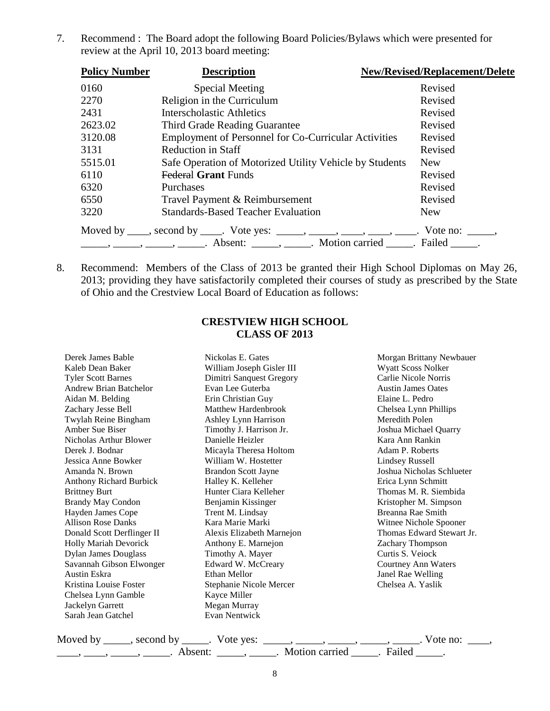7. Recommend : The Board adopt the following Board Policies/Bylaws which were presented for review at the April 10, 2013 board meeting:

| <b>Policy Number</b> | <b>Description</b>                                                                                                                                                                                                                                                                                                                                                                                                                                                                                                     | New/Revised/Replacement/Delete |
|----------------------|------------------------------------------------------------------------------------------------------------------------------------------------------------------------------------------------------------------------------------------------------------------------------------------------------------------------------------------------------------------------------------------------------------------------------------------------------------------------------------------------------------------------|--------------------------------|
| 0160                 | <b>Special Meeting</b>                                                                                                                                                                                                                                                                                                                                                                                                                                                                                                 | Revised                        |
| 2270                 | Religion in the Curriculum                                                                                                                                                                                                                                                                                                                                                                                                                                                                                             | Revised                        |
| 2431                 | Interscholastic Athletics                                                                                                                                                                                                                                                                                                                                                                                                                                                                                              | Revised                        |
| 2623.02              | Third Grade Reading Guarantee                                                                                                                                                                                                                                                                                                                                                                                                                                                                                          | Revised                        |
| 3120.08              | <b>Employment of Personnel for Co-Curricular Activities</b>                                                                                                                                                                                                                                                                                                                                                                                                                                                            | Revised                        |
| 3131                 | <b>Reduction in Staff</b>                                                                                                                                                                                                                                                                                                                                                                                                                                                                                              | Revised                        |
| 5515.01              | Safe Operation of Motorized Utility Vehicle by Students                                                                                                                                                                                                                                                                                                                                                                                                                                                                | New                            |
| 6110                 | <b>Federal Grant Funds</b>                                                                                                                                                                                                                                                                                                                                                                                                                                                                                             | Revised                        |
| 6320                 | Purchases                                                                                                                                                                                                                                                                                                                                                                                                                                                                                                              | Revised                        |
| 6550                 | Travel Payment & Reimbursement                                                                                                                                                                                                                                                                                                                                                                                                                                                                                         | Revised                        |
| 3220                 | <b>Standards-Based Teacher Evaluation</b>                                                                                                                                                                                                                                                                                                                                                                                                                                                                              | <b>New</b>                     |
|                      | Moved by ____, second by ____. Vote yes: _____, ____, ____, ____, ____. Vote no: _____,<br>$\frac{1}{1}, \frac{1}{1}, \frac{1}{1}, \frac{1}{1}, \frac{1}{1}, \frac{1}{1}, \frac{1}{1}, \frac{1}{1}, \frac{1}{1}, \frac{1}{1}, \frac{1}{1}, \frac{1}{1}, \frac{1}{1}, \frac{1}{1}, \frac{1}{1}, \frac{1}{1}, \frac{1}{1}, \frac{1}{1}, \frac{1}{1}, \frac{1}{1}, \frac{1}{1}, \frac{1}{1}, \frac{1}{1}, \frac{1}{1}, \frac{1}{1}, \frac{1}{1}, \frac{1}{1}, \frac{1}{1}, \frac{1}{1}, \frac{1}{1}, \frac{1}{1}, \frac{$ |                                |

8. Recommend: Members of the Class of 2013 be granted their High School Diplomas on May 26, 2013; providing they have satisfactorily completed their courses of study as prescribed by the State of Ohio and the Crestview Local Board of Education as follows:

### **CRESTVIEW HIGH SCHOOL CLASS OF 2013**

| Derek James Bable              | Nickolas E. Gates          | Morgan Brittany Newbauer  |
|--------------------------------|----------------------------|---------------------------|
| Kaleb Dean Baker               | William Joseph Gisler III  | Wyatt Scoss Nolker        |
| <b>Tyler Scott Barnes</b>      | Dimitri Sanquest Gregory   | Carlie Nicole Norris      |
| <b>Andrew Brian Batchelor</b>  | Evan Lee Guterba           | <b>Austin James Oates</b> |
| Aidan M. Belding               | Erin Christian Guy         | Elaine L. Pedro           |
| Zachary Jesse Bell             | Matthew Hardenbrook        | Chelsea Lynn Phillips     |
| Twylah Reine Bingham           | Ashley Lynn Harrison       | Meredith Polen            |
| Amber Sue Biser                | Timothy J. Harrison Jr.    | Joshua Michael Quarry     |
| Nicholas Arthur Blower         | Danielle Heizler           | Kara Ann Rankin           |
| Derek J. Bodnar                | Micayla Theresa Holtom     | Adam P. Roberts           |
| Jessica Anne Bowker            | William W. Hostetter       | <b>Lindsey Russell</b>    |
| Amanda N. Brown                | <b>Brandon Scott Jayne</b> | Joshua Nicholas Schlueter |
| <b>Anthony Richard Burbick</b> | Halley K. Kelleher         | Erica Lynn Schmitt        |
| <b>Brittney Burt</b>           | Hunter Ciara Kelleher      | Thomas M. R. Siembida     |
| <b>Brandy May Condon</b>       | Benjamin Kissinger         | Kristopher M. Simpson     |
| Hayden James Cope              | Trent M. Lindsay           | Breanna Rae Smith         |
| <b>Allison Rose Danks</b>      | Kara Marie Marki           | Witnee Nichole Spooner    |
| Donald Scott Derflinger II     | Alexis Elizabeth Marnejon  | Thomas Edward Stewart Jr. |
| <b>Holly Mariah Devorick</b>   | Anthony E. Marnejon        | Zachary Thompson          |
| <b>Dylan James Douglass</b>    | Timothy A. Mayer           | Curtis S. Veiock          |
| Savannah Gibson Elwonger       | Edward W. McCreary         | Courtney Ann Waters       |
| Austin Eskra                   | Ethan Mellor               | Janel Rae Welling         |
| Kristina Louise Foster         | Stephanie Nicole Mercer    | Chelsea A. Yaslik         |
| Chelsea Lynn Gamble            | Kayce Miller               |                           |
| Jackelyn Garrett               | Megan Murray               |                           |
| Sarah Jean Gatchel             | Evan Nentwick              |                           |
|                                |                            |                           |

| Moved by | second by           | Vote yes: |                |        | Vote no: |  |
|----------|---------------------|-----------|----------------|--------|----------|--|
|          | Absent <sup>.</sup> |           | Motion carried | Failed |          |  |